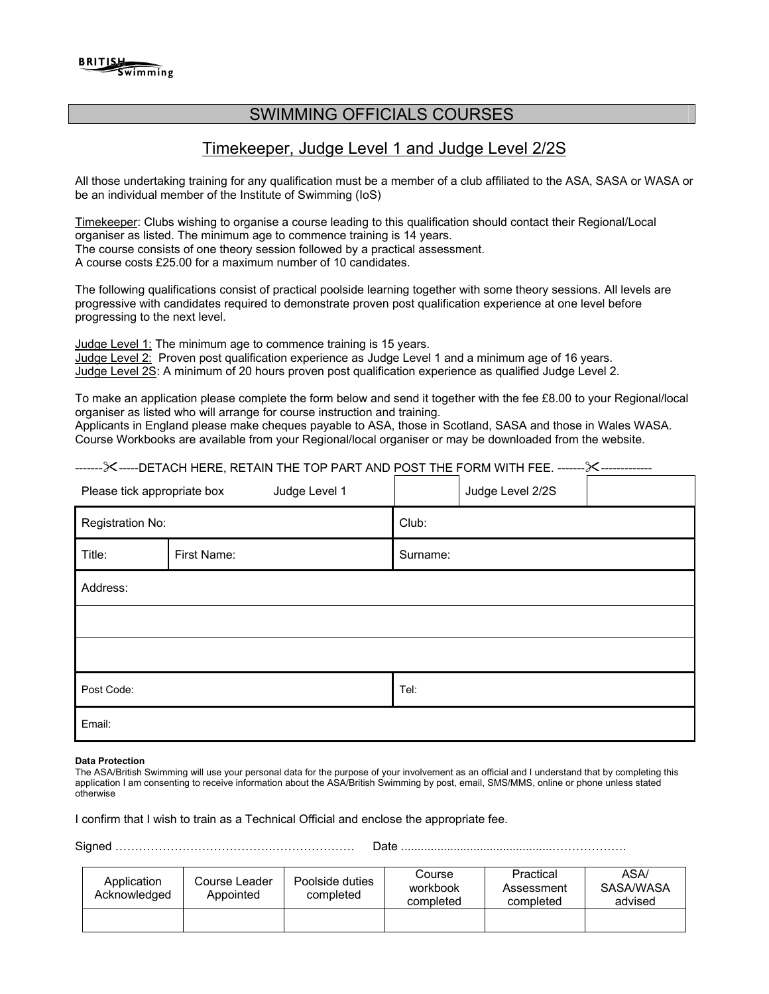# SWIMMING OFFICIALS COURSES

# Timekeeper, Judge Level 1 and Judge Level 2/2S

All those undertaking training for any qualification must be a member of a club affiliated to the ASA, SASA or WASA or be an individual member of the Institute of Swimming (IoS)

Timekeeper: Clubs wishing to organise a course leading to this qualification should contact their Regional/Local organiser as listed. The minimum age to commence training is 14 years. The course consists of one theory session followed by a practical assessment. A course costs £25.00 for a maximum number of 10 candidates.

The following qualifications consist of practical poolside learning together with some theory sessions. All levels are progressive with candidates required to demonstrate proven post qualification experience at one level before progressing to the next level.

Judge Level 1: The minimum age to commence training is 15 years.

Judge Level 2: Proven post qualification experience as Judge Level 1 and a minimum age of 16 years. Judge Level 2S: A minimum of 20 hours proven post qualification experience as qualified Judge Level 2.

To make an application please complete the form below and send it together with the fee £8.00 to your Regional/local organiser as listed who will arrange for course instruction and training.

Applicants in England please make cheques payable to ASA, those in Scotland, SASA and those in Wales WASA. Course Workbooks are available from your Regional/local organiser or may be downloaded from the website.

------------DETACH HERE, RETAIN THE TOP PART AND POST THE FORM WITH FEE. --------------------

| Please tick appropriate box | Judge Level 1 |          | Judge Level 2/2S |  |
|-----------------------------|---------------|----------|------------------|--|
| Registration No:            |               | Club:    |                  |  |
| Title:                      | First Name:   | Surname: |                  |  |
| Address:                    |               |          |                  |  |
|                             |               |          |                  |  |
|                             |               |          |                  |  |
| Post Code:                  |               | Tel:     |                  |  |
| Email:                      |               |          |                  |  |

### **Data Protection**

The ASA/British Swimming will use your personal data for the purpose of your involvement as an official and I understand that by completing this application I am consenting to receive information about the ASA/British Swimming by post, email, SMS/MMS, online or phone unless stated otherwise

I confirm that I wish to train as a Technical Official and enclose the appropriate fee.

Signed ………………………………….………………… Date ..............................................……………….

| Application<br>Acknowledged | Course Leader<br>Appointed | Poolside duties<br>completed | Course<br>workbook<br>completed | Practical<br>Assessment<br>completed | ASA/<br>SASA/WASA<br>advised |
|-----------------------------|----------------------------|------------------------------|---------------------------------|--------------------------------------|------------------------------|
|                             |                            |                              |                                 |                                      |                              |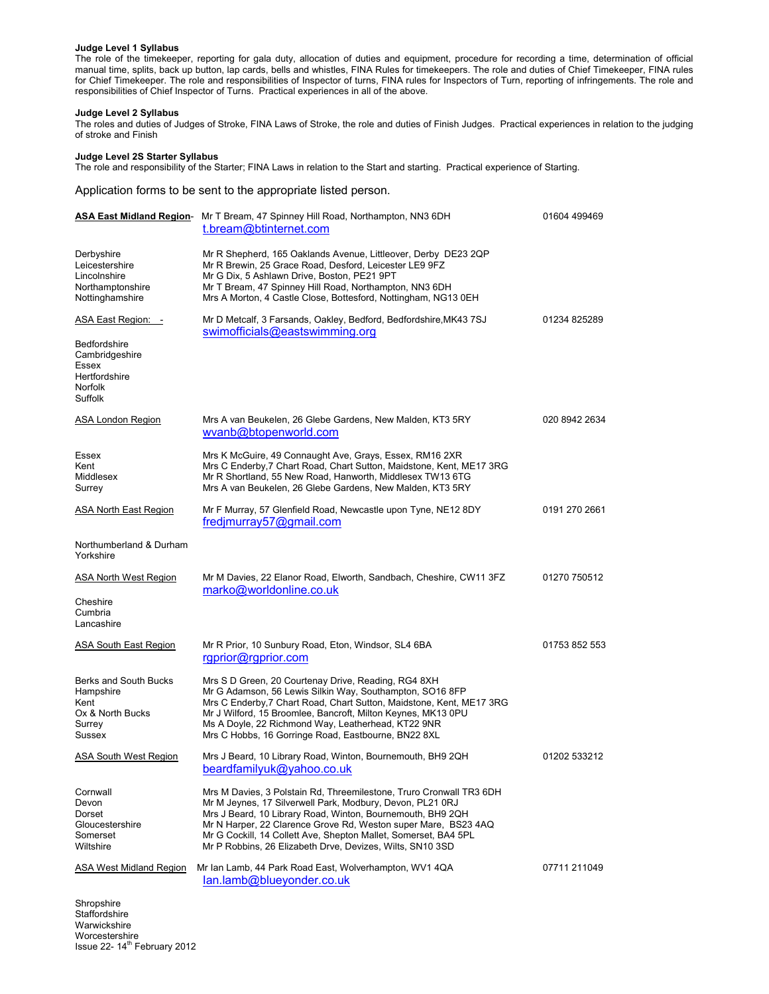## **Judge Level 1 Syllabus**

The role of the timekeeper, reporting for gala duty, allocation of duties and equipment, procedure for recording a time, determination of official manual time, splits, back up button, lap cards, bells and whistles, FINA Rules for timekeepers. The role and duties of Chief Timekeeper, FINA rules for Chief Timekeeper. The role and responsibilities of Inspector of turns, FINA rules for Inspectors of Turn, reporting of infringements. The role and responsibilities of Chief Inspector of Turns. Practical experiences in all of the above.

### **Judge Level 2 Syllabus**

The roles and duties of Judges of Stroke, FINA Laws of Stroke, the role and duties of Finish Judges. Practical experiences in relation to the judging of stroke and Finish

#### **Judge Level 2S Starter Syllabus**

The role and responsibility of the Starter; FINA Laws in relation to the Start and starting. Practical experience of Starting.

Application forms to be sent to the appropriate listed person.

|                                                                                                             | ASA East Midland Region- Mr T Bream, 47 Spinney Hill Road, Northampton, NN3 6DH<br>t.bream@btinternet.com                                                                                                                                                                                                                                                                                        | 01604 499469  |
|-------------------------------------------------------------------------------------------------------------|--------------------------------------------------------------------------------------------------------------------------------------------------------------------------------------------------------------------------------------------------------------------------------------------------------------------------------------------------------------------------------------------------|---------------|
| Derbyshire<br>Leicestershire<br>Lincolnshire<br>Northamptonshire<br>Nottinghamshire                         | Mr R Shepherd, 165 Oaklands Avenue, Littleover, Derby DE23 2QP<br>Mr R Brewin, 25 Grace Road, Desford, Leicester LE9 9FZ<br>Mr G Dix, 5 Ashlawn Drive, Boston, PE21 9PT<br>Mr T Bream, 47 Spinney Hill Road, Northampton, NN3 6DH<br>Mrs A Morton, 4 Castle Close, Bottesford, Nottingham, NG13 0EH                                                                                              |               |
| ASA East Region: -<br>Bedfordshire<br>Cambridgeshire<br>Essex<br>Hertfordshire<br><b>Norfolk</b><br>Suffolk | Mr D Metcalf, 3 Farsands, Oakley, Bedford, Bedfordshire, MK43 7SJ<br>swimofficials@eastswimming.org                                                                                                                                                                                                                                                                                              | 01234 825289  |
| <b>ASA London Region</b>                                                                                    | Mrs A van Beukelen, 26 Glebe Gardens, New Malden, KT3 5RY<br>wvanb@btopenworld.com                                                                                                                                                                                                                                                                                                               | 020 8942 2634 |
| Essex<br>Kent<br>Middlesex<br>Surrey                                                                        | Mrs K McGuire, 49 Connaught Ave, Grays, Essex, RM16 2XR<br>Mrs C Enderby, 7 Chart Road, Chart Sutton, Maidstone, Kent, ME17 3RG<br>Mr R Shortland, 55 New Road, Hanworth, Middlesex TW13 6TG<br>Mrs A van Beukelen, 26 Glebe Gardens, New Malden, KT3 5RY                                                                                                                                        |               |
| ASA North East Region                                                                                       | Mr F Murray, 57 Glenfield Road, Newcastle upon Tyne, NE12 8DY<br>fredjmurray57@gmail.com                                                                                                                                                                                                                                                                                                         | 0191 270 2661 |
| Northumberland & Durham<br>Yorkshire                                                                        |                                                                                                                                                                                                                                                                                                                                                                                                  |               |
| ASA North West Region<br>Cheshire<br>Cumbria<br>Lancashire                                                  | Mr M Davies, 22 Elanor Road, Elworth, Sandbach, Cheshire, CW11 3FZ<br>marko@worldonline.co.uk                                                                                                                                                                                                                                                                                                    | 01270 750512  |
| <b>ASA South East Region</b>                                                                                | Mr R Prior, 10 Sunbury Road, Eton, Windsor, SL4 6BA<br>rgprior@rgprior.com                                                                                                                                                                                                                                                                                                                       | 01753 852 553 |
| Berks and South Bucks<br>Hampshire<br>Kent<br>Ox & North Bucks<br>Surrey<br>Sussex                          | Mrs S D Green, 20 Courtenay Drive, Reading, RG4 8XH<br>Mr G Adamson, 56 Lewis Silkin Way, Southampton, SO16 8FP<br>Mrs C Enderby, 7 Chart Road, Chart Sutton, Maidstone, Kent, ME17 3RG<br>Mr J Wilford, 15 Broomlee, Bancroft, Milton Keynes, MK13 0PU<br>Ms A Doyle, 22 Richmond Way, Leatherhead, KT22 9NR<br>Mrs C Hobbs, 16 Gorringe Road, Eastbourne, BN22 8XL                             |               |
| ASA South West Region                                                                                       | Mrs J Beard, 10 Library Road, Winton, Bournemouth, BH9 2QH<br>beardfamilyuk@yahoo.co.uk                                                                                                                                                                                                                                                                                                          | 01202 533212  |
| Cornwall<br>Devon<br>Dorset<br>Gloucestershire<br>Somerset<br>Wiltshire                                     | Mrs M Davies, 3 Polstain Rd, Threemilestone, Truro Cronwall TR3 6DH<br>Mr M Jeynes, 17 Silverwell Park, Modbury, Devon, PL21 0RJ<br>Mrs J Beard, 10 Library Road, Winton, Bournemouth, BH9 2QH<br>Mr N Harper, 22 Clarence Grove Rd, Weston super Mare, BS23 4AQ<br>Mr G Cockill, 14 Collett Ave, Shepton Mallet, Somerset, BA4 5PL<br>Mr P Robbins, 26 Elizabeth Drve, Devizes, Wilts, SN10 3SD |               |
| <b>ASA West Midland Region</b>                                                                              | Mr Ian Lamb, 44 Park Road East, Wolverhampton, WV1 4QA<br>lan.lamb@blueyonder.co.uk                                                                                                                                                                                                                                                                                                              | 07711 211049  |
| Shropshire<br>Staffordshire                                                                                 |                                                                                                                                                                                                                                                                                                                                                                                                  |               |

Worcestershire<br>Issue 22- 14<sup>th</sup> February 2012 Staffordshire Warwickshire